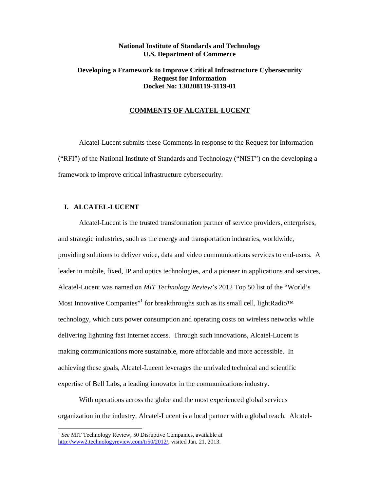# **National Institute of Standards and Technology U.S. Department of Commerce**

# **Developing a Framework to Improve Critical Infrastructure Cybersecurity Request for Information Docket No: 130208119-3119-01**

## **COMMENTS OF ALCATEL-LUCENT**

 Alcatel-Lucent submits these Comments in response to the Request for Information ("RFI") of the National Institute of Standards and Technology ("NIST") on the developing a framework to improve critical infrastructure cybersecurity.

## **I. ALCATEL-LUCENT**

 Alcatel-Lucent is the trusted transformation partner of service providers, enterprises, and strategic industries, such as the energy and transportation industries, worldwide, providing solutions to deliver voice, data and video communications services to end-users. A leader in mobile, fixed, IP and optics technologies, and a pioneer in applications and services, Alcatel-Lucent was named on *MIT Technology Review*'s 2012 Top 50 list of the "World's Most Innovative Companies"<sup>1</sup> for breakthroughs such as its small cell, lightRadio<sup>™</sup> technology, which cuts power consumption and operating costs on wireless networks while delivering lightning fast Internet access. Through such innovations, Alcatel-Lucent is making communications more sustainable, more affordable and more accessible. In achieving these goals, Alcatel-Lucent leverages the unrivaled technical and scientific expertise of Bell Labs, a leading innovator in the communications industry.

 With operations across the globe and the most experienced global services organization in the industry, Alcatel-Lucent is a local partner with a global reach. Alcatel-

-

http://www2.technologyreview.com/tr50/2012/, visited Jan. 21, 2013. <sup>1</sup> See MIT Technology Review, 50 Disruptive Companies, available at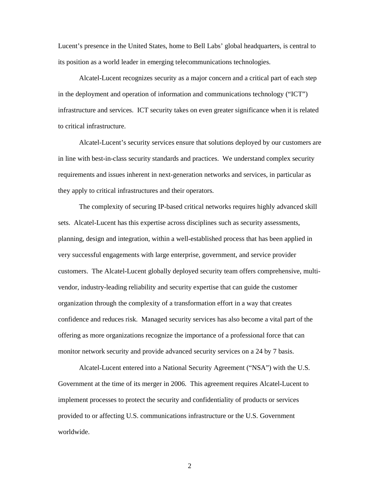Lucent's presence in the United States, home to Bell Labs' global headquarters, is central to its position as a world leader in emerging telecommunications technologies.

 Alcatel-Lucent recognizes security as a major concern and a critical part of each step in the deployment and operation of information and communications technology ("ICT") infrastructure and services. ICT security takes on even greater significance when it is related to critical infrastructure.

 Alcatel-Lucent's security services ensure that solutions deployed by our customers are in line with best-in-class security standards and practices. We understand complex security requirements and issues inherent in next-generation networks and services, in particular as they apply to critical infrastructures and their operators.

 The complexity of securing IP-based critical networks requires highly advanced skill sets. Alcatel-Lucent has this expertise across disciplines such as security assessments, planning, design and integration, within a well-established process that has been applied in very successful engagements with large enterprise, government, and service provider customers. The Alcatel-Lucent globally deployed security team offers comprehensive, multi- vendor, industry-leading reliability and security expertise that can guide the customer organization through the complexity of a transformation effort in a way that creates confidence and reduces risk. Managed security services has also become a vital part of the offering as more organizations recognize the importance of a professional force that can monitor network security and provide advanced security services on a 24 by 7 basis.

 Alcatel-Lucent entered into a National Security Agreement ("NSA") with the U.S. Government at the time of its merger in 2006. This agreement requires Alcatel-Lucent to implement processes to protect the security and confidentiality of products or services provided to or affecting U.S. communications infrastructure or the U.S. Government worldwide.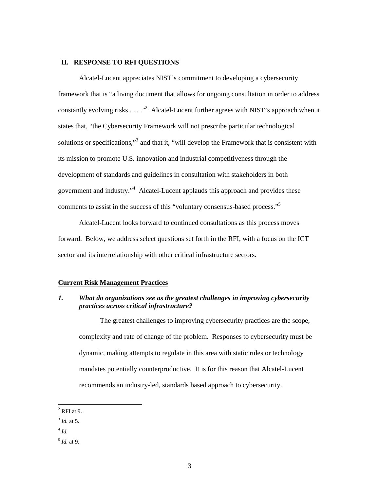## **II. RESPONSE TO RFI QUESTIONS**

 Alcatel-Lucent appreciates NIST's commitment to developing a cybersecurity framework that is "a living document that allows for ongoing consultation in order to address constantly evolving risks  $\dots$ ."<sup>2</sup> Alcatel-Lucent further agrees with NIST's approach when it states that, "the Cybersecurity Framework will not prescribe particular technological solutions or specifications,"<sup>3</sup> and that it, "will develop the Framework that is consistent with its mission to promote U.S. innovation and industrial competitiveness through the development of standards and guidelines in consultation with stakeholders in both government and industry."<sup>4</sup> Alcatel-Lucent applauds this approach and provides these comments to assist in the success of this "voluntary consensus-based process."<sup>5</sup>

 Alcatel-Lucent looks forward to continued consultations as this process moves forward. Below, we address select questions set forth in the RFI, with a focus on the ICT sector and its interrelationship with other critical infrastructure sectors.

## **Current Risk Management Practices**

#### $\mathbf{I}$ .  *practices across critical infrastructure? What do organizations see as the greatest challenges in improving cybersecurity*

 The greatest challenges to improving cybersecurity practices are the scope, complexity and rate of change of the problem. Responses to cybersecurity must be dynamic, making attempts to regulate in this area with static rules or technology mandates potentially counterproductive. It is for this reason that Alcatel-Lucent recommends an industry-led, standards based approach to cybersecurity.

-

 $<sup>2</sup>$  RFI at 9.</sup>

 <sup>3</sup>*Id.* at 5.

 <sup>4</sup>*Id.* 

 <sup>5</sup>*Id.* at 9.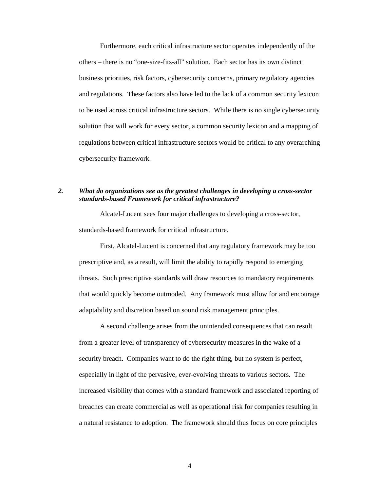Furthermore, each critical infrastructure sector operates independently of the others – there is no "one-size-fits-all" solution. Each sector has its own distinct business priorities, risk factors, cybersecurity concerns, primary regulatory agencies and regulations. These factors also have led to the lack of a common security lexicon to be used across critical infrastructure sectors. While there is no single cybersecurity solution that will work for every sector, a common security lexicon and a mapping of regulations between critical infrastructure sectors would be critical to any overarching cybersecurity framework.

#### 2.  *standards-based Framework for critical infrastructure? 2. What do organizations see as the greatest challenges in developing a cross-sector*

 Alcatel-Lucent sees four major challenges to developing a cross-sector, standards-based framework for critical infrastructure.

 First, Alcatel-Lucent is concerned that any regulatory framework may be too prescriptive and, as a result, will limit the ability to rapidly respond to emerging threats. Such prescriptive standards will draw resources to mandatory requirements that would quickly become outmoded. Any framework must allow for and encourage adaptability and discretion based on sound risk management principles.

 A second challenge arises from the unintended consequences that can result from a greater level of transparency of cybersecurity measures in the wake of a security breach. Companies want to do the right thing, but no system is perfect, especially in light of the pervasive, ever-evolving threats to various sectors. The increased visibility that comes with a standard framework and associated reporting of breaches can create commercial as well as operational risk for companies resulting in a natural resistance to adoption. The framework should thus focus on core principles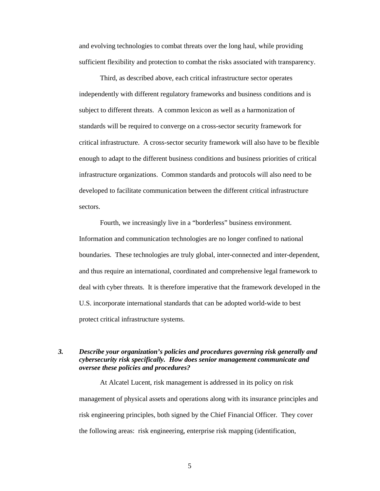and evolving technologies to combat threats over the long haul, while providing sufficient flexibility and protection to combat the risks associated with transparency.

 Third, as described above, each critical infrastructure sector operates independently with different regulatory frameworks and business conditions and is subject to different threats. A common lexicon as well as a harmonization of standards will be required to converge on a cross-sector security framework for critical infrastructure. A cross-sector security framework will also have to be flexible enough to adapt to the different business conditions and business priorities of critical infrastructure organizations. Common standards and protocols will also need to be developed to facilitate communication between the different critical infrastructure sectors.

 Fourth, we increasingly live in a "borderless" business environment. Information and communication technologies are no longer confined to national boundaries. These technologies are truly global, inter-connected and inter-dependent, and thus require an international, coordinated and comprehensive legal framework to deal with cyber threats. It is therefore imperative that the framework developed in the U.S. incorporate international standards that can be adopted world-wide to best protect critical infrastructure systems.

# 3. Describe your organization's policies and procedures governing risk generally and  *cybersecurity risk specifically. How does senior management communicate and oversee these policies and procedures?*

 At Alcatel Lucent, risk management is addressed in its policy on risk management of physical assets and operations along with its insurance principles and risk engineering principles, both signed by the Chief Financial Officer. They cover the following areas: risk engineering, enterprise risk mapping (identification,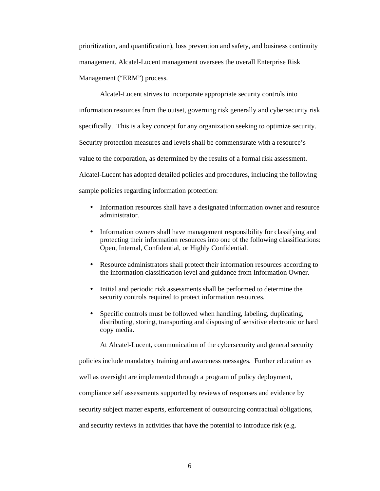prioritization, and quantification), loss prevention and safety, and business continuity management. Alcatel-Lucent management oversees the overall Enterprise Risk Management ("ERM") process.

 Alcatel-Lucent strives to incorporate appropriate security controls into information resources from the outset, governing risk generally and cybersecurity risk specifically. This is a key concept for any organization seeking to optimize security. Security protection measures and levels shall be commensurate with a resource's value to the corporation, as determined by the results of a formal risk assessment. Alcatel-Lucent has adopted detailed policies and procedures, including the following sample policies regarding information protection:

- Information resources shall have a designated information owner and resource administrator.
- Information owners shall have management responsibility for classifying and protecting their information resources into one of the following classifications: Open, Internal, Confidential, or Highly Confidential.
- • Resource administrators shall protect their information resources according to the information classification level and guidance from Information Owner.
- Initial and periodic risk assessments shall be performed to determine the security controls required to protect information resources.
- Specific controls must be followed when handling, labeling, duplicating, distributing, storing, transporting and disposing of sensitive electronic or hard copy media.

At Alcatel-Lucent, communication of the cybersecurity and general security

policies include mandatory training and awareness messages. Further education as

well as oversight are implemented through a program of policy deployment,

compliance self assessments supported by reviews of responses and evidence by

security subject matter experts, enforcement of outsourcing contractual obligations,

and security reviews in activities that have the potential to introduce risk (e.g.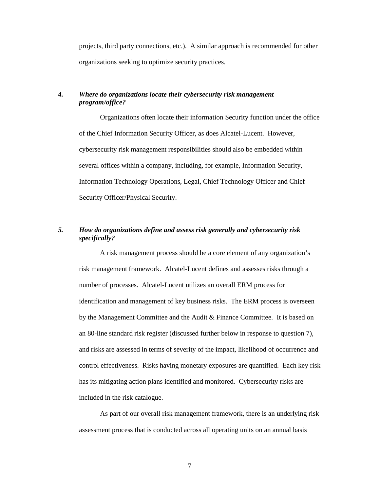projects, third party connections, etc.). A similar approach is recommended for other organizations seeking to optimize security practices.

#### $\boldsymbol{4}$ . *Where do organizations locate their cybersecurity risk management program/office?*

 Organizations often locate their information Security function under the office of the Chief Information Security Officer, as does Alcatel-Lucent. However, cybersecurity risk management responsibilities should also be embedded within several offices within a company, including, for example, Information Security, Information Technology Operations, Legal, Chief Technology Officer and Chief Security Officer/Physical Security.

#### How do organizations define and assess risk generally and cybersecurity risk *specifically?*

 A risk management process should be a core element of any organization's risk management framework. Alcatel-Lucent defines and assesses risks through a number of processes. Alcatel-Lucent utilizes an overall ERM process for identification and management of key business risks. The ERM process is overseen by the Management Committee and the Audit & Finance Committee. It is based on an 80-line standard risk register (discussed further below in response to question 7), and risks are assessed in terms of severity of the impact, likelihood of occurrence and control effectiveness. Risks having monetary exposures are quantified. Each key risk has its mitigating action plans identified and monitored. Cybersecurity risks are included in the risk catalogue.

 As part of our overall risk management framework, there is an underlying risk assessment process that is conducted across all operating units on an annual basis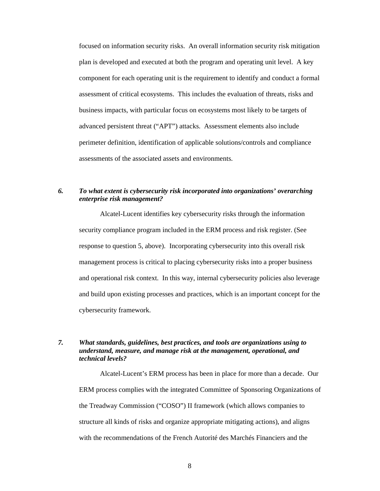focused on information security risks. An overall information security risk mitigation plan is developed and executed at both the program and operating unit level. A key component for each operating unit is the requirement to identify and conduct a formal assessment of critical ecosystems. This includes the evaluation of threats, risks and business impacts, with particular focus on ecosystems most likely to be targets of advanced persistent threat ("APT") attacks. Assessment elements also include perimeter definition, identification of applicable solutions/controls and compliance assessments of the associated assets and environments.

#### *enterprise risk management?*  To what extent is cybersecurity risk incorporated into organizations' overarching

 Alcatel-Lucent identifies key cybersecurity risks through the information security compliance program included in the ERM process and risk register. (See response to question 5, above). Incorporating cybersecurity into this overall risk management process is critical to placing cybersecurity risks into a proper business and operational risk context. In this way, internal cybersecurity policies also leverage and build upon existing processes and practices, which is an important concept for the cybersecurity framework.

#### *understand, measure, and manage risk at the management, operational, and technical levels? Xhat standards, guidelines, best practices, and tools are organizations using to*

 Alcatel-Lucent's ERM process has been in place for more than a decade. Our ERM process complies with the integrated Committee of Sponsoring Organizations of the Treadway Commission ("COSO") II framework (which allows companies to structure all kinds of risks and organize appropriate mitigating actions), and aligns with the recommendations of the French Autorité des Marchés Financiers and the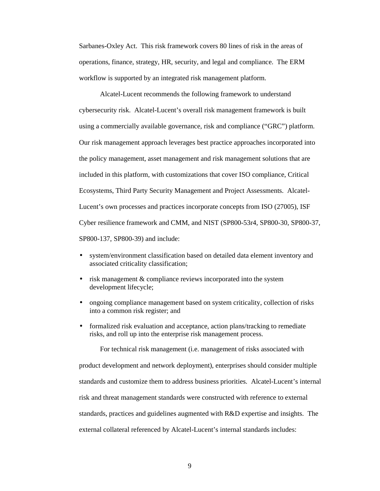Sarbanes-Oxley Act. This risk framework covers 80 lines of risk in the areas of operations, finance, strategy, HR, security, and legal and compliance. The ERM workflow is supported by an integrated risk management platform.

 Alcatel-Lucent recommends the following framework to understand cybersecurity risk. Alcatel-Lucent's overall risk management framework is built using a commercially available governance, risk and compliance ("GRC") platform. Our risk management approach leverages best practice approaches incorporated into the policy management, asset management and risk management solutions that are included in this platform, with customizations that cover ISO compliance, Critical Ecosystems, Third Party Security Management and Project Assessments. Alcatel- Lucent's own processes and practices incorporate concepts from ISO (27005), ISF Cyber resilience framework and CMM, and NIST (SP800-53r4, SP800-30, SP800-37, SP800-137, SP800-39) and include:

- • system/environment classification based on detailed data element inventory and associated criticality classification;
- risk management & compliance reviews incorporated into the system development lifecycle;
- ongoing compliance management based on system criticality, collection of risks into a common risk register; and
- formalized risk evaluation and acceptance, action plans/tracking to remediate risks, and roll up into the enterprise risk management process.

 For technical risk management (i.e. management of risks associated with product development and network deployment), enterprises should consider multiple standards and customize them to address business priorities. Alcatel-Lucent's internal risk and threat management standards were constructed with reference to external standards, practices and guidelines augmented with R&D expertise and insights. The external collateral referenced by Alcatel-Lucent's internal standards includes: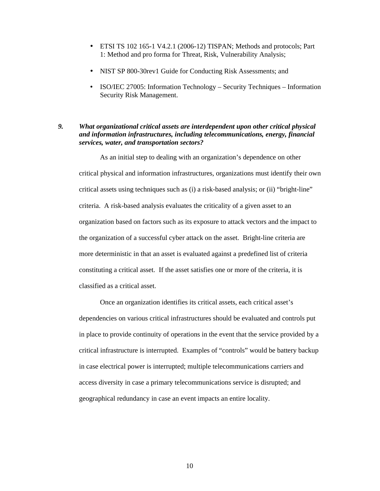- • ETSI TS 102 165-1 V4.2.1 (2006-12) TISPAN; Methods and protocols; Part 1: Method and pro forma for Threat, Risk, Vulnerability Analysis;
- NIST SP 800-30rev1 Guide for Conducting Risk Assessments; and
- ISO/IEC 27005: Information Technology Security Techniques Information Security Risk Management.

#### $\mathbf{Q}$  *and information infrastructures, including telecommunications, energy, financial services, water, and transportation sectors? What organizational critical assets are interdependent upon other critical physical*

 As an initial step to dealing with an organization's dependence on other critical physical and information infrastructures, organizations must identify their own critical assets using techniques such as (i) a risk-based analysis; or (ii) "bright-line" criteria. A risk-based analysis evaluates the criticality of a given asset to an organization based on factors such as its exposure to attack vectors and the impact to the organization of a successful cyber attack on the asset. Bright-line criteria are more deterministic in that an asset is evaluated against a predefined list of criteria constituting a critical asset. If the asset satisfies one or more of the criteria, it is classified as a critical asset.

 Once an organization identifies its critical assets, each critical asset's dependencies on various critical infrastructures should be evaluated and controls put in place to provide continuity of operations in the event that the service provided by a critical infrastructure is interrupted. Examples of "controls" would be battery backup in case electrical power is interrupted; multiple telecommunications carriers and access diversity in case a primary telecommunications service is disrupted; and geographical redundancy in case an event impacts an entire locality.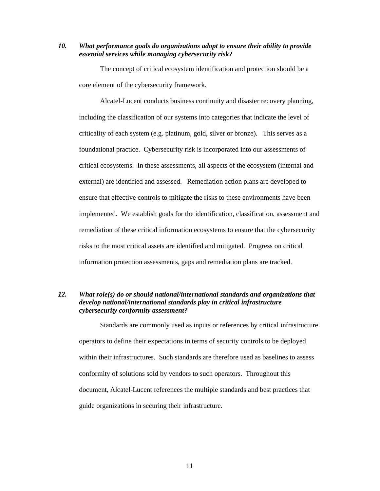10. What performance goals do organizations adopt to ensure their ability to provide  *essential services while managing cybersecurity risk?* 

 The concept of critical ecosystem identification and protection should be a core element of the cybersecurity framework.

 Alcatel-Lucent conducts business continuity and disaster recovery planning, including the classification of our systems into categories that indicate the level of criticality of each system (e.g. platinum, gold, silver or bronze). This serves as a foundational practice. Cybersecurity risk is incorporated into our assessments of critical ecosystems. In these assessments, all aspects of the ecosystem (internal and external) are identified and assessed. Remediation action plans are developed to ensure that effective controls to mitigate the risks to these environments have been implemented. We establish goals for the identification, classification, assessment and remediation of these critical information ecosystems to ensure that the cybersecurity risks to the most critical assets are identified and mitigated. Progress on critical information protection assessments, gaps and remediation plans are tracked.

#### $12.$  *develop national/international standards play in critical infrastructure cybersecurity conformity assessment? Nhat role(s) do or should national/international standards and organizations that*

 Standards are commonly used as inputs or references by critical infrastructure operators to define their expectations in terms of security controls to be deployed within their infrastructures. Such standards are therefore used as baselines to assess conformity of solutions sold by vendors to such operators. Throughout this document, Alcatel-Lucent references the multiple standards and best practices that guide organizations in securing their infrastructure.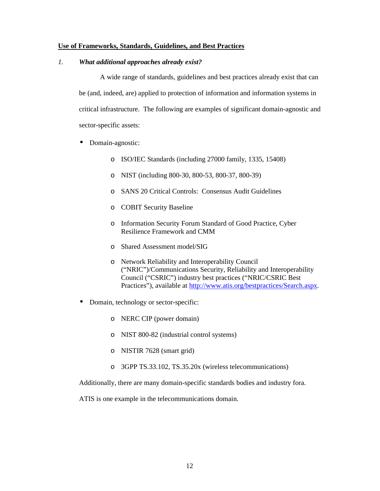# **Use of Frameworks, Standards, Guidelines, and Best Practices**

# *1. What additional approaches already exist?*

 A wide range of standards, guidelines and best practices already exist that can be (and, indeed, are) applied to protection of information and information systems in critical infrastructure. The following are examples of significant domain-agnostic and sector-specific assets:

- Domain-agnostic:
	- o ISO/IEC Standards (including 27000 family, 1335, 15408)
	- o NIST (including 800-30, 800-53, 800-37, 800-39)
	- o SANS 20 Critical Controls: Consensus Audit Guidelines
	- o COBIT Security Baseline
	- o Information Security Forum Standard of Good Practice, Cyber Resilience Framework and CMM
	- o Shared Assessment model/SIG
	- o Network Reliability and Interoperability Council ("NRIC")/Communications Security, Reliability and Interoperability Council ("CSRIC") industry best practices ("NRIC/CSRIC Best Practices"), available at http://www.atis.org/bestpractices/Search.aspx.
- Domain, technology or sector-specific:
	- o NERC CIP (power domain)
	- o NIST 800-82 (industrial control systems)
	- o NISTIR 7628 (smart grid)
	- o 3GPP TS.33.102, TS.35.20x (wireless telecommunications)

Additionally, there are many domain-specific standards bodies and industry fora.

ATIS is one example in the telecommunications domain.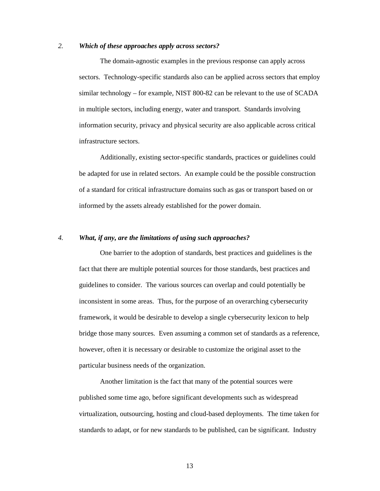## *2. Which of these approaches apply across sectors?*

 The domain-agnostic examples in the previous response can apply across sectors. Technology-specific standards also can be applied across sectors that employ similar technology – for example, NIST 800-82 can be relevant to the use of SCADA in multiple sectors, including energy, water and transport. Standards involving information security, privacy and physical security are also applicable across critical infrastructure sectors.

 Additionally, existing sector-specific standards, practices or guidelines could be adapted for use in related sectors. An example could be the possible construction of a standard for critical infrastructure domains such as gas or transport based on or informed by the assets already established for the power domain.

## *4. What, if any, are the limitations of using such approaches?*

 One barrier to the adoption of standards, best practices and guidelines is the fact that there are multiple potential sources for those standards, best practices and guidelines to consider. The various sources can overlap and could potentially be inconsistent in some areas. Thus, for the purpose of an overarching cybersecurity framework, it would be desirable to develop a single cybersecurity lexicon to help bridge those many sources. Even assuming a common set of standards as a reference, however, often it is necessary or desirable to customize the original asset to the particular business needs of the organization.

 Another limitation is the fact that many of the potential sources were published some time ago, before significant developments such as widespread virtualization, outsourcing, hosting and cloud-based deployments. The time taken for standards to adapt, or for new standards to be published, can be significant. Industry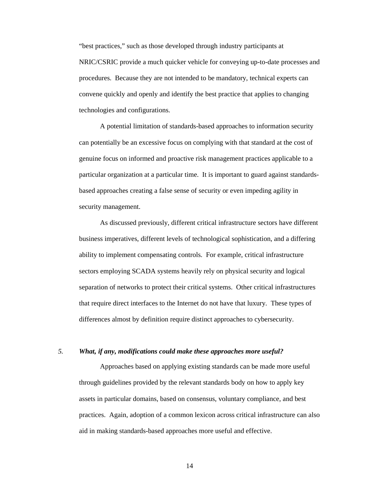"best practices," such as those developed through industry participants at NRIC/CSRIC provide a much quicker vehicle for conveying up-to-date processes and procedures. Because they are not intended to be mandatory, technical experts can convene quickly and openly and identify the best practice that applies to changing technologies and configurations.

 A potential limitation of standards-based approaches to information security can potentially be an excessive focus on complying with that standard at the cost of genuine focus on informed and proactive risk management practices applicable to a particular organization at a particular time. It is important to guard against standards- based approaches creating a false sense of security or even impeding agility in security management.

 As discussed previously, different critical infrastructure sectors have different business imperatives, different levels of technological sophistication, and a differing ability to implement compensating controls. For example, critical infrastructure sectors employing SCADA systems heavily rely on physical security and logical separation of networks to protect their critical systems. Other critical infrastructures that require direct interfaces to the Internet do not have that luxury. These types of differences almost by definition require distinct approaches to cybersecurity.

## *5. What, if any, modifications could make these approaches more useful?*

 Approaches based on applying existing standards can be made more useful through guidelines provided by the relevant standards body on how to apply key assets in particular domains, based on consensus, voluntary compliance, and best practices. Again, adoption of a common lexicon across critical infrastructure can also aid in making standards-based approaches more useful and effective.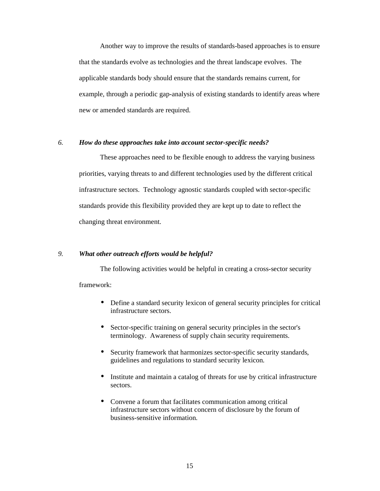Another way to improve the results of standards-based approaches is to ensure that the standards evolve as technologies and the threat landscape evolves. The applicable standards body should ensure that the standards remains current, for example, through a periodic gap-analysis of existing standards to identify areas where new or amended standards are required.

## *6. How do these approaches take into account sector-specific needs?*

 These approaches need to be flexible enough to address the varying business priorities, varying threats to and different technologies used by the different critical infrastructure sectors. Technology agnostic standards coupled with sector-specific standards provide this flexibility provided they are kept up to date to reflect the changing threat environment.

## *9. What other outreach efforts would be helpful?*

 The following activities would be helpful in creating a cross-sector security framework:

- • Define a standard security lexicon of general security principles for critical infrastructure sectors.
- Sector-specific training on general security principles in the sector's terminology. Awareness of supply chain security requirements.
- • Security framework that harmonizes sector-specific security standards, guidelines and regulations to standard security lexicon.
- • Institute and maintain a catalog of threats for use by critical infrastructure sectors.
- • Convene a forum that facilitates communication among critical infrastructure sectors without concern of disclosure by the forum of business-sensitive information.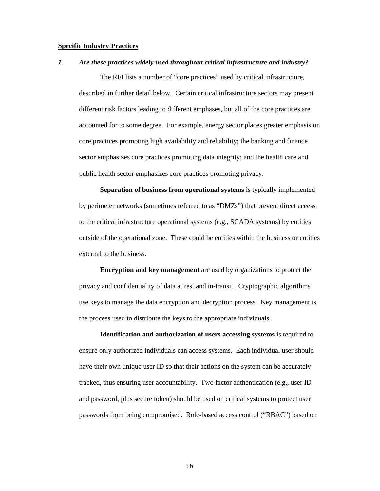## **Specific Industry Practices**

#### $\boldsymbol{l}$ . *1. Are these practices widely used throughout critical infrastructure and industry?*

 The RFI lists a number of "core practices" used by critical infrastructure, described in further detail below. Certain critical infrastructure sectors may present different risk factors leading to different emphases, but all of the core practices are accounted for to some degree. For example, energy sector places greater emphasis on core practices promoting high availability and reliability; the banking and finance sector emphasizes core practices promoting data integrity; and the health care and public health sector emphasizes core practices promoting privacy.

 **Separation of business from operational systems** is typically implemented by perimeter networks (sometimes referred to as "DMZs") that prevent direct access to the critical infrastructure operational systems (e.g., SCADA systems) by entities outside of the operational zone. These could be entities within the business or entities external to the business.

 **Encryption and key management** are used by organizations to protect the privacy and confidentiality of data at rest and in-transit. Cryptographic algorithms use keys to manage the data encryption and decryption process. Key management is the process used to distribute the keys to the appropriate individuals.

 **Identification and authorization of users accessing systems** is required to ensure only authorized individuals can access systems. Each individual user should have their own unique user ID so that their actions on the system can be accurately tracked, thus ensuring user accountability. Two factor authentication (e.g., user ID and password, plus secure token) should be used on critical systems to protect user passwords from being compromised. Role-based access control ("RBAC") based on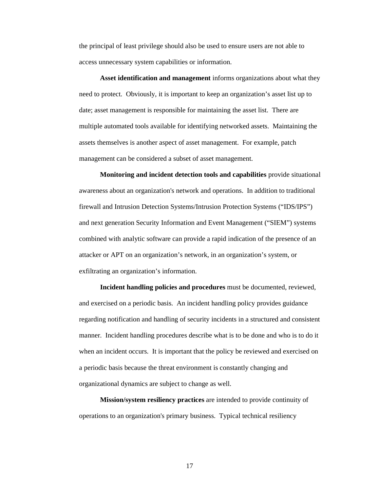the principal of least privilege should also be used to ensure users are not able to access unnecessary system capabilities or information.

 **Asset identification and management** informs organizations about what they need to protect. Obviously, it is important to keep an organization's asset list up to date; asset management is responsible for maintaining the asset list. There are multiple automated tools available for identifying networked assets. Maintaining the assets themselves is another aspect of asset management. For example, patch management can be considered a subset of asset management.

 **Monitoring and incident detection tools and capabilities** provide situational awareness about an organization's network and operations. In addition to traditional firewall and Intrusion Detection Systems/Intrusion Protection Systems ("IDS/IPS") and next generation Security Information and Event Management ("SIEM") systems combined with analytic software can provide a rapid indication of the presence of an attacker or APT on an organization's network, in an organization's system, or exfiltrating an organization's information.

 **Incident handling policies and procedures** must be documented, reviewed, and exercised on a periodic basis. An incident handling policy provides guidance regarding notification and handling of security incidents in a structured and consistent manner. Incident handling procedures describe what is to be done and who is to do it when an incident occurs. It is important that the policy be reviewed and exercised on a periodic basis because the threat environment is constantly changing and organizational dynamics are subject to change as well.

 **Mission/system resiliency practices** are intended to provide continuity of operations to an organization's primary business. Typical technical resiliency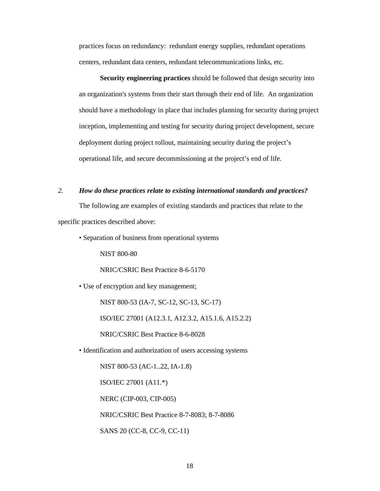practices focus on redundancy: redundant energy supplies, redundant operations centers, redundant data centers, redundant telecommunications links, etc.

 **Security engineering practices** should be followed that design security into an organization's systems from their start through their end of life. An organization should have a methodology in place that includes planning for security during project inception, implementing and testing for security during project development, secure deployment during project rollout, maintaining security during the project's operational life, and secure decommissioning at the project's end of life.

## *2. How do these practices relate to existing international standards and practices?*

 The following are examples of existing standards and practices that relate to the specific practices described above:

• Separation of business from operational systems

NIST 800-80

NRIC/CSRIC Best Practice 8-6-5170

• Use of encryption and key management;

NIST 800-53 (IA-7, SC-12, SC-13, SC-17)

ISO/IEC 27001 (A12.3.1, A12.3.2, A15.1.6, A15.2.2)

NRIC/CSRIC Best Practice 8-6-8028

• Identification and authorization of users accessing systems

NIST 800-53 (AC-1..22, IA-1.8)

ISO/IEC 27001 (A11.\*)

NERC (CIP-003, CIP-005)

NRIC/CSRIC Best Practice 8-7-8083; 8-7-8086

SANS 20 (CC-8, CC-9, CC-11)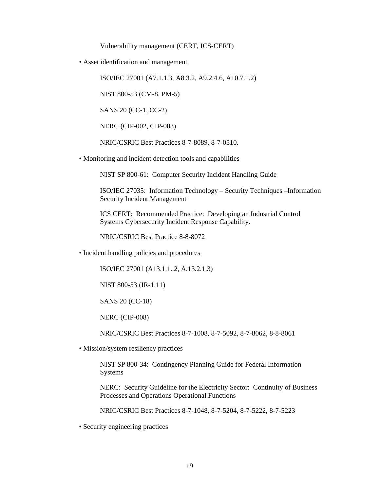Vulnerability management (CERT, ICS-CERT)

• Asset identification and management

ISO/IEC 27001 (A7.1.1.3, A8.3.2, A9.2.4.6, A10.7.1.2)

NIST 800-53 (CM-8, PM-5)

SANS 20 (CC-1, CC-2)

NERC (CIP-002, CIP-003)

NRIC/CSRIC Best Practices 8-7-8089, 8-7-0510.

• Monitoring and incident detection tools and capabilities

NIST SP 800-61: Computer Security Incident Handling Guide

 ISO/IEC 27035: Information Technology – Security Techniques –Information Security Incident Management

 ICS CERT: Recommended Practice: Developing an Industrial Control Systems Cybersecurity Incident Response Capability.

NRIC/CSRIC Best Practice 8-8-8072

• Incident handling policies and procedures

ISO/IEC 27001 (A13.1.1..2, A.13.2.1.3)

NIST 800-53 (IR-1.11)

SANS 20 (CC-18)

NERC (CIP-008)

NRIC/CSRIC Best Practices 8-7-1008, 8-7-5092, 8-7-8062, 8-8-8061

• Mission/system resiliency practices

 NIST SP 800-34: Contingency Planning Guide for Federal Information Systems

 NERC: Security Guideline for the Electricity Sector: Continuity of Business Processes and Operations Operational Functions

NRIC/CSRIC Best Practices 8-7-1048, 8-7-5204, 8-7-5222, 8-7-5223

• Security engineering practices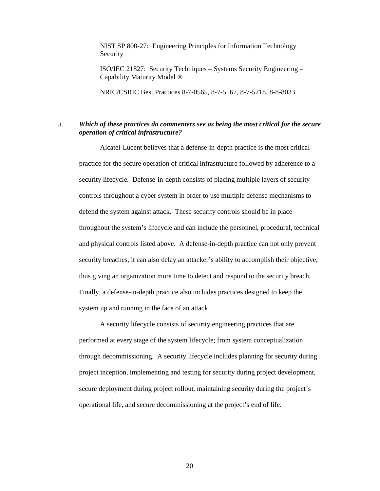NIST SP 800-27: Engineering Principles for Information Technology Security

 ISO/IEC 21827: Security Techniques – Systems Security Engineering – Capability Maturity Model ®

NRIC/CSRIC Best Practices 8-7-0565, 8-7-5167, 8-7-5218, 8-8-8033

# *3. Which of these practices do commenters see as being the most critical for the secure operation of critical infrastructure?*

 Alcatel-Lucent believes that a defense-in-depth practice is the most critical practice for the secure operation of critical infrastructure followed by adherence to a security lifecycle. Defense-in-depth consists of placing multiple layers of security controls throughout a cyber system in order to use multiple defense mechanisms to defend the system against attack. These security controls should be in place throughout the system's lifecycle and can include the personnel, procedural, technical and physical controls listed above. A defense-in-depth practice can not only prevent security breaches, it can also delay an attacker's ability to accomplish their objective, thus giving an organization more time to detect and respond to the security breach. Finally, a defense-in-depth practice also includes practices designed to keep the system up and running in the face of an attack.

 A security lifecycle consists of security engineering practices that are performed at every stage of the system lifecycle; from system conceptualization through decommissioning. A security lifecycle includes planning for security during project inception, implementing and testing for security during project development, secure deployment during project rollout, maintaining security during the project's operational life, and secure decommissioning at the project's end of life.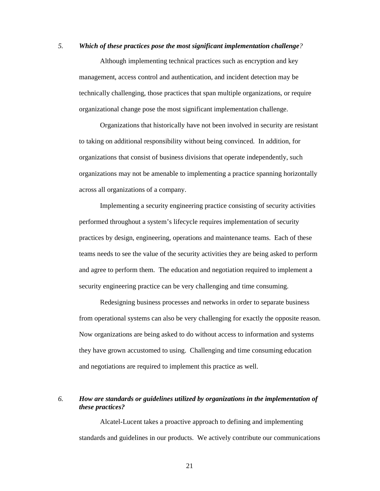## *5. Which of these practices pose the most significant implementation challenge?*

 Although implementing technical practices such as encryption and key management, access control and authentication, and incident detection may be technically challenging, those practices that span multiple organizations, or require organizational change pose the most significant implementation challenge.

 Organizations that historically have not been involved in security are resistant to taking on additional responsibility without being convinced. In addition, for organizations that consist of business divisions that operate independently, such organizations may not be amenable to implementing a practice spanning horizontally across all organizations of a company.

 Implementing a security engineering practice consisting of security activities performed throughout a system's lifecycle requires implementation of security practices by design, engineering, operations and maintenance teams. Each of these teams needs to see the value of the security activities they are being asked to perform and agree to perform them. The education and negotiation required to implement a security engineering practice can be very challenging and time consuming.

 Redesigning business processes and networks in order to separate business from operational systems can also be very challenging for exactly the opposite reason. Now organizations are being asked to do without access to information and systems they have grown accustomed to using. Challenging and time consuming education and negotiations are required to implement this practice as well.

# *6. How are standards or guidelines utilized by organizations in the implementation of these practices?*

 Alcatel-Lucent takes a proactive approach to defining and implementing standards and guidelines in our products. We actively contribute our communications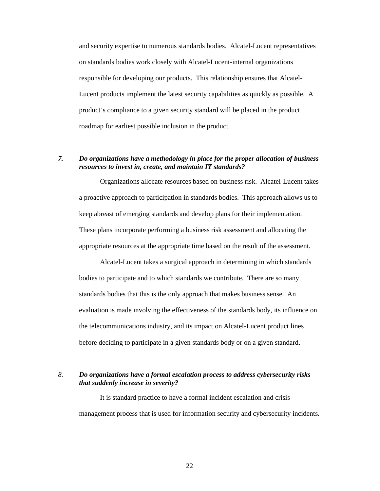and security expertise to numerous standards bodies. Alcatel-Lucent representatives on standards bodies work closely with Alcatel-Lucent-internal organizations responsible for developing our products. This relationship ensures that Alcatel- Lucent products implement the latest security capabilities as quickly as possible. A product's compliance to a given security standard will be placed in the product roadmap for earliest possible inclusion in the product.

#### *resources to invest in, create, and maintain IT standards? 7. Do organizations have a methodology in place for the proper allocation of business*

 Organizations allocate resources based on business risk. Alcatel-Lucent takes a proactive approach to participation in standards bodies. This approach allows us to keep abreast of emerging standards and develop plans for their implementation. These plans incorporate performing a business risk assessment and allocating the appropriate resources at the appropriate time based on the result of the assessment.

 Alcatel-Lucent takes a surgical approach in determining in which standards bodies to participate and to which standards we contribute. There are so many standards bodies that this is the only approach that makes business sense. An evaluation is made involving the effectiveness of the standards body, its influence on the telecommunications industry, and its impact on Alcatel-Lucent product lines before deciding to participate in a given standards body or on a given standard.

# *8. Do organizations have a formal escalation process to address cybersecurity risks that suddenly increase in severity?*

 It is standard practice to have a formal incident escalation and crisis management process that is used for information security and cybersecurity incidents.